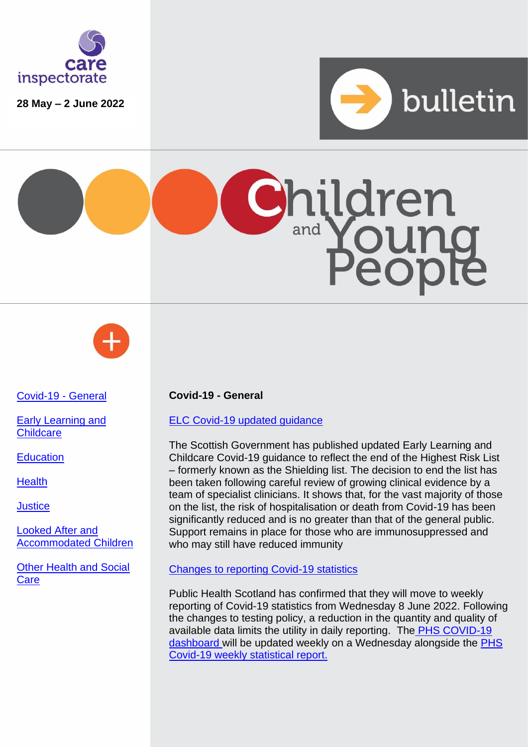

**28 May – 2 June 2022**







# [Covid-19 -](#page-0-0) General

[Early Learning](#page-1-0) and **[Childcare](#page-1-0)** 

**[Education](#page-1-1)** 

**[Health](#page-1-2)** 

**[Justice](#page-2-0)** 

[Looked After and](#page-2-1)  [Accommodated Children](#page-2-1)

[Other Health and Social](#page-2-2)  **[Care](#page-2-2)** 

### <span id="page-0-0"></span>**Covid-19 - General**

### [ELC Covid-19 updated guidance](https://www.gov.scot/publications/coronavirus-covid-19-early-learning-childcare-services/?utm_medium=email&utm_source=govdelivery)

The Scottish Government has published updated Early Learning and Childcare Covid-19 guidance to reflect the end of the Highest Risk List – formerly known as the Shielding list. The decision to end the list has been taken following careful review of growing clinical evidence by a team of specialist clinicians. It shows that, for the vast majority of those on the list, the risk of hospitalisation or death from Covid-19 has been significantly reduced and is no greater than that of the general public. Support remains in place for those who are immunosuppressed and who may still have reduced immunity

### [Changes to reporting Covid-19 statistics](https://www.publichealthscotland.scot/news/2022/june/update-on-changes-to-reporting-of-covid-19-statistics/)

Public Health Scotland has confirmed that they will move to weekly reporting of Covid-19 statistics from Wednesday 8 June 2022. Following the changes to testing policy, a reduction in the quantity and quality of available data limits the utility in daily reporting. The [PHS COVID-19](https://public.tableau.com/app/profile/phs.covid.19/viz/COVID-19DailyDashboard_15960160643010/Overview/viz/COVID-19DailyDashboard_15960160643010/Overview)  [dashboard](https://public.tableau.com/app/profile/phs.covid.19/viz/COVID-19DailyDashboard_15960160643010/Overview/viz/COVID-19DailyDashboard_15960160643010/Overview) will be updated weekly on a Wednesday alongside the PHS [Covid-19 weekly statistical report.](https://www.publichealthscotland.scot/publications/show-all-releases?id=20580)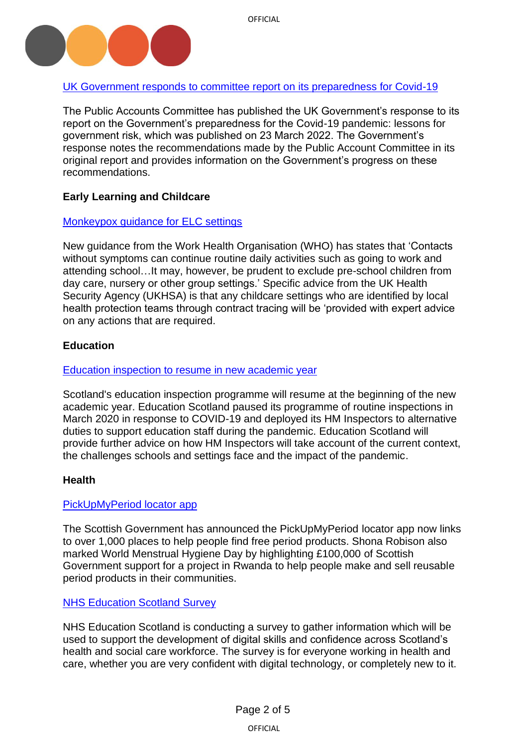

# [UK Government responds to committee report on its preparedness for Covid-19](https://committees.parliament.uk/publications/22462/documents/165547/default/)

The Public Accounts Committee has published the UK Government's response to its report on the Government's preparedness for the Covid-19 pandemic: lessons for government risk, which was published on 23 March 2022. The Government's response notes the recommendations made by the Public Account Committee in its original report and provides information on the Government's progress on these recommendations.

# <span id="page-1-0"></span>**Early Learning and Childcare**

### [Monkeypox guidance for ELC settings](https://www.who.int/emergencies/disease-outbreak-news/item/2022-DON388)

New guidance from the Work Health Organisation (WHO) has states that 'Contacts without symptoms can continue routine daily activities such as going to work and attending school…It may, however, be prudent to exclude pre-school children from day care, nursery or other group settings.' Specific advice from the UK Health Security Agency (UKHSA) is that any childcare settings who are identified by local health protection teams through contract tracing will be 'provided with expert advice on any actions that are required.

### <span id="page-1-1"></span>**Education**

#### [Education inspection to resume in new academic year](https://education.gov.scot/education-scotland/news-and-events/news/routine-education-inspections-to-resume-in-new-academic-year/)

Scotland's education inspection programme will resume at the beginning of the new academic year. Education Scotland paused its programme of routine inspections in March 2020 in response to COVID-19 and deployed its HM Inspectors to alternative duties to support education staff during the pandemic. Education Scotland will provide further advice on how HM Inspectors will take account of the current context, the challenges schools and settings face and the impact of the pandemic.

#### <span id="page-1-2"></span>**Health**

### [PickUpMyPeriod locator app](https://www.gov.scot/news/over-1000-locations-on-period-product-locator-app/)

The Scottish Government has announced the PickUpMyPeriod locator app now links to over 1,000 places to help people find free period products. Shona Robison also marked World Menstrual Hygiene Day by highlighting £100,000 of Scottish Government support for a project in Rwanda to help people make and sell reusable period products in their communities.

### [NHS Education Scotland Survey](https://www.careinspectorate.com/images/Digital_Survey_Poster3.pdf?utm_medium=email&utm_source=govdelivery)

NHS Education Scotland is conducting a survey to gather information which will be used to support the development of digital skills and confidence across Scotland's health and social care workforce. The survey is for everyone working in health and care, whether you are very confident with digital technology, or completely new to it.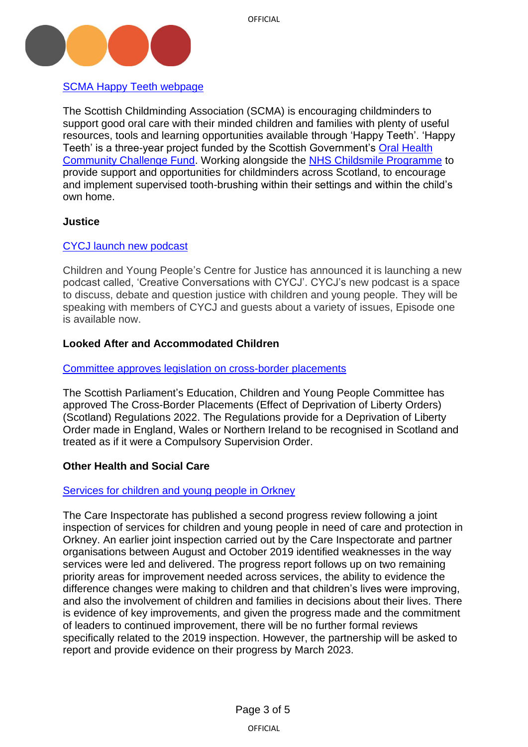

[SCMA Happy Teeth](https://www.childminding.org/learn-with-scma/happy-teeth?utm_medium=email&utm_source=govdelivery) webpage

The Scottish Childminding Association (SCMA) is encouraging childminders to support good oral care with their minded children and families with plenty of useful resources, tools and learning opportunities available through 'Happy Teeth'. 'Happy Teeth' is a three-year project funded by the Scottish Government's [Oral Health](https://www.gov.scot/publications/oral-health-community-challenge-fund-grant-recipients-july-2019-to-march-2022/)  [Community Challenge Fund.](https://www.gov.scot/publications/oral-health-community-challenge-fund-grant-recipients-july-2019-to-march-2022/) Working alongside the [NHS Childsmile Programme](http://www.child-smile.org.uk/) to provide support and opportunities for childminders across Scotland, to encourage and implement supervised tooth-brushing within their settings and within the child's own home.

### <span id="page-2-0"></span>**Justice**

### [CYCJ launch new podcast](https://www.cycj.org.uk/resource/creative-conversations-with-cycj-podcast/)

Children and Young People's Centre for Justice has announced it is launching a new podcast called, 'Creative Conversations with CYCJ'. CYCJ's new podcast is a space to discuss, debate and question justice with children and young people. They will be speaking with members of CYCJ and guests about a variety of issues, Episode one is available now.

# <span id="page-2-1"></span>**Looked After and Accommodated Children**

### [Committee approves legislation on cross-border placements](https://digitalpublications.parliament.scot/Committees/Report/ECYP/2022/6/1/61409906-4a55-4ece-9930-6e59389cfbc8#Introduction)

The Scottish Parliament's Education, Children and Young People Committee has approved The Cross-Border Placements (Effect of Deprivation of Liberty Orders) (Scotland) Regulations 2022. The Regulations provide for a Deprivation of Liberty Order made in England, Wales or Northern Ireland to be recognised in Scotland and treated as if it were a Compulsory Supervision Order.

# <span id="page-2-2"></span>**Other Health and Social Care**

### [Services for children and young people in Orkney](https://www.careinspectorate.com/index.php/news/6695-services-for-children-and-young-people-in-orkney)

The Care Inspectorate has published a second progress review following a joint inspection of services for children and young people in need of care and protection in Orkney. An earlier joint inspection carried out by the Care Inspectorate and partner organisations between August and October 2019 identified weaknesses in the way services were led and delivered. The progress report follows up on two remaining priority areas for improvement needed across services, the ability to evidence the difference changes were making to children and that children's lives were improving, and also the involvement of children and families in decisions about their lives. There is evidence of key improvements, and given the progress made and the commitment of leaders to continued improvement, there will be no further formal reviews specifically related to the 2019 inspection. However, the partnership will be asked to report and provide evidence on their progress by March 2023.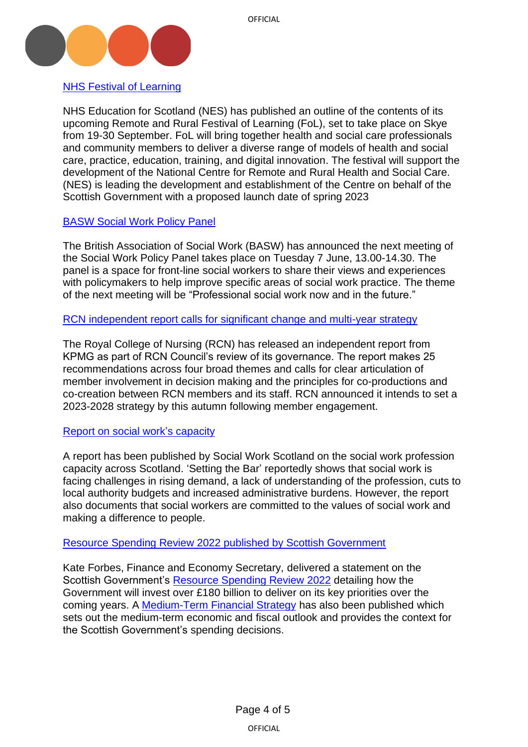

### [NHS Festival of Learning](https://www.nes.scot.nhs.uk/news/new-remote-and-rural-festival-of-learning-on-skye-will-promote-best-practice-in-the-delivery-of-remote-and-rural-health-and-social-care/)

NHS Education for Scotland (NES) has published an outline of the contents of its upcoming Remote and Rural Festival of Learning (FoL), set to take place on Skye from 19-30 September. FoL will bring together health and social care professionals and community members to deliver a diverse range of models of health and social care, practice, education, training, and digital innovation. The festival will support the development of the National Centre for Remote and Rural Health and Social Care. (NES) is leading the development and establishment of the Centre on behalf of the Scottish Government with a proposed launch date of spring 2023

### [BASW Social Work Policy Panel](https://www.basw.co.uk/media/news/2022/may/social-work-policy-panel)

The British Association of Social Work (BASW) has announced the next meeting of the Social Work Policy Panel takes place on Tuesday 7 June, 13.00-14.30. The panel is a space for front-line social workers to share their views and experiences with policymakers to help improve specific areas of social work practice. The theme of the next meeting will be "Professional social work now and in the future."

[RCN independent report calls for significant change and multi-year strategy](https://www.rcn.org.uk/news-and-events/news/uk-rcn-leaders-commit-to-significant-change-called-for-in-external-review-260522)

The Royal College of Nursing (RCN) has released an independent report from KPMG as part of RCN Council's review of its governance. The report makes 25 recommendations across four broad themes and calls for clear articulation of member involvement in decision making and the principles for co-productions and co-creation between RCN members and its staff. RCN announced it intends to set a 2023-2028 strategy by this autumn following member engagement.

### [Report on social work's capacity](https://socialworkscotland.org/social-work-in-scotland-is-at-a-critical-tipping-point-report-says/)

A report has been published by Social Work Scotland on the social work profession capacity across Scotland. 'Setting the Bar' reportedly shows that social work is facing challenges in rising demand, a lack of understanding of the profession, cuts to local authority budgets and increased administrative burdens. However, the report also documents that social workers are committed to the values of social work and making a difference to people.

#### [Resource Spending Review 2022 published by Scottish Government](https://www.gov.scot/publications/ministerial-statement-resource-spending-review-framework/)

Kate Forbes, Finance and Economy Secretary, delivered a statement on the Scottish Government's [Resource Spending Review](https://www.gov.scot/publications/scottish-resource-spending-review/) 2022 detailing how the Government will invest over £180 billion to deliver on its key priorities over the coming years. A [Medium-Term Financial Strategy](https://www.gov.scot/publications/scotlands-fiscal-outlook-scottish-governments-medium-term-financial-strategy-2/) has also been published which sets out the medium-term economic and fiscal outlook and provides the context for the Scottish Government's spending decisions.